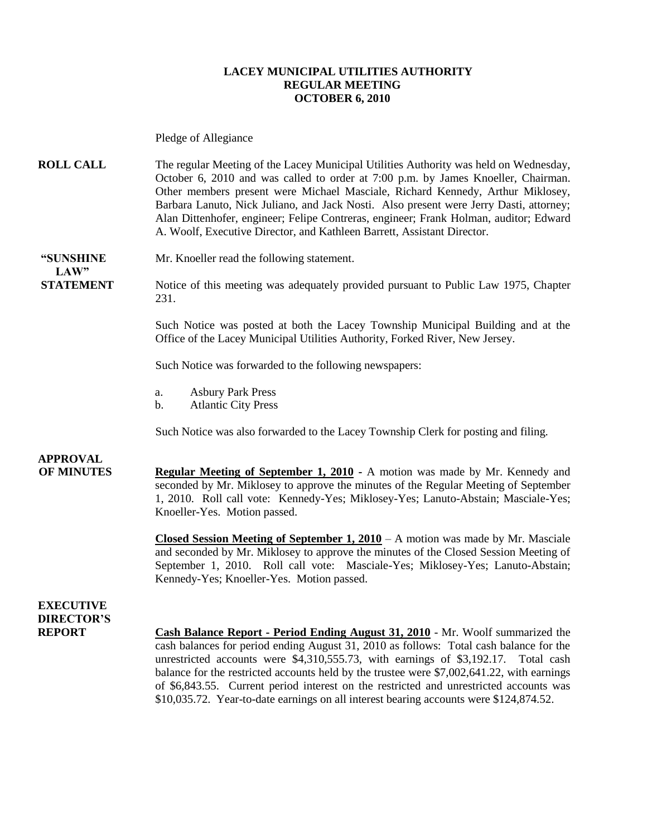#### **LACEY MUNICIPAL UTILITIES AUTHORITY REGULAR MEETING OCTOBER 6, 2010**

Pledge of Allegiance

**ROLL CALL** The regular Meeting of the Lacey Municipal Utilities Authority was held on Wednesday, October 6, 2010 and was called to order at 7:00 p.m. by James Knoeller, Chairman. Other members present were Michael Masciale, Richard Kennedy, Arthur Miklosey, Barbara Lanuto, Nick Juliano, and Jack Nosti. Also present were Jerry Dasti, attorney; Alan Dittenhofer, engineer; Felipe Contreras, engineer; Frank Holman, auditor; Edward A. Woolf, Executive Director, and Kathleen Barrett, Assistant Director.

**"SUNSHINE** Mr. Knoeller read the following statement.  $LAW"$ 

**STATEMENT** Notice of this meeting was adequately provided pursuant to Public Law 1975, Chapter 231.

> Such Notice was posted at both the Lacey Township Municipal Building and at the Office of the Lacey Municipal Utilities Authority, Forked River, New Jersey.

Such Notice was forwarded to the following newspapers:

- a. Asbury Park Press
- b. Atlantic City Press

Such Notice was also forwarded to the Lacey Township Clerk for posting and filing.

**APPROVAL**

**OF MINUTES Regular Meeting of September 1, 2010 -** A motion was made by Mr. Kennedy and seconded by Mr. Miklosey to approve the minutes of the Regular Meeting of September 1, 2010. Roll call vote: Kennedy-Yes; Miklosey-Yes; Lanuto-Abstain; Masciale-Yes; Knoeller-Yes. Motion passed.

> **Closed Session Meeting of September 1, 2010** – A motion was made by Mr. Masciale and seconded by Mr. Miklosey to approve the minutes of the Closed Session Meeting of September 1, 2010. Roll call vote: Masciale-Yes; Miklosey-Yes; Lanuto-Abstain; Kennedy-Yes; Knoeller-Yes. Motion passed.

### **EXECUTIVE DIRECTOR'S**

**REPORT Cash Balance Report - Period Ending August 31, 2010** - Mr. Woolf summarized the cash balances for period ending August 31, 2010 as follows: Total cash balance for the unrestricted accounts were \$4,310,555.73, with earnings of \$3,192.17. Total cash balance for the restricted accounts held by the trustee were \$7,002,641.22, with earnings of \$6,843.55. Current period interest on the restricted and unrestricted accounts was \$10,035.72. Year-to-date earnings on all interest bearing accounts were \$124,874.52.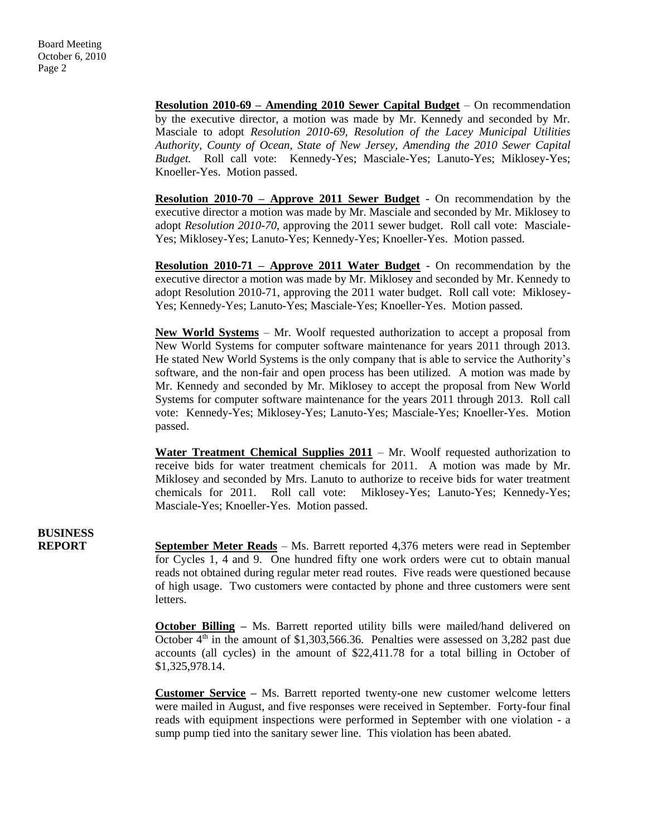**Resolution 2010-69 – Amending 2010 Sewer Capital Budget** – On recommendation by the executive director, a motion was made by Mr. Kennedy and seconded by Mr. Masciale to adopt *Resolution 2010-69, Resolution of the Lacey Municipal Utilities Authority, County of Ocean, State of New Jersey, Amending the 2010 Sewer Capital Budget.* Roll call vote: Kennedy-Yes; Masciale-Yes; Lanuto-Yes; Miklosey-Yes; Knoeller-Yes. Motion passed.

**Resolution 2010-70 – Approve 2011 Sewer Budget** - On recommendation by the executive director a motion was made by Mr. Masciale and seconded by Mr. Miklosey to adopt *Resolution 2010-70*, approving the 2011 sewer budget. Roll call vote: Masciale-Yes; Miklosey-Yes; Lanuto-Yes; Kennedy-Yes; Knoeller-Yes. Motion passed.

**Resolution 2010-71 – Approve 2011 Water Budget** - On recommendation by the executive director a motion was made by Mr. Miklosey and seconded by Mr. Kennedy to adopt Resolution 2010-71, approving the 2011 water budget. Roll call vote: Miklosey-Yes; Kennedy-Yes; Lanuto-Yes; Masciale-Yes; Knoeller-Yes. Motion passed.

**New World Systems** – Mr. Woolf requested authorization to accept a proposal from New World Systems for computer software maintenance for years 2011 through 2013. He stated New World Systems is the only company that is able to service the Authority's software, and the non-fair and open process has been utilized. A motion was made by Mr. Kennedy and seconded by Mr. Miklosey to accept the proposal from New World Systems for computer software maintenance for the years 2011 through 2013. Roll call vote: Kennedy-Yes; Miklosey-Yes; Lanuto-Yes; Masciale-Yes; Knoeller-Yes. Motion passed.

Water Treatment Chemical Supplies 2011 – Mr. Woolf requested authorization to receive bids for water treatment chemicals for 2011. A motion was made by Mr. Miklosey and seconded by Mrs. Lanuto to authorize to receive bids for water treatment chemicals for 2011. Roll call vote: Miklosey-Yes; Lanuto-Yes; Kennedy-Yes; Masciale-Yes; Knoeller-Yes. Motion passed.

**BUSINESS**

**REPORT September Meter Reads** – Ms. Barrett reported 4,376 meters were read in September for Cycles 1, 4 and 9. One hundred fifty one work orders were cut to obtain manual reads not obtained during regular meter read routes. Five reads were questioned because of high usage. Two customers were contacted by phone and three customers were sent letters.

> **October Billing** – Ms. Barrett reported utility bills were mailed/hand delivered on October  $4<sup>th</sup>$  in the amount of \$1,303,566.36. Penalties were assessed on 3,282 past due accounts (all cycles) in the amount of \$22,411.78 for a total billing in October of \$1,325,978.14.

> **Customer Service –** Ms. Barrett reported twenty-one new customer welcome letters were mailed in August, and five responses were received in September. Forty-four final reads with equipment inspections were performed in September with one violation - a sump pump tied into the sanitary sewer line. This violation has been abated.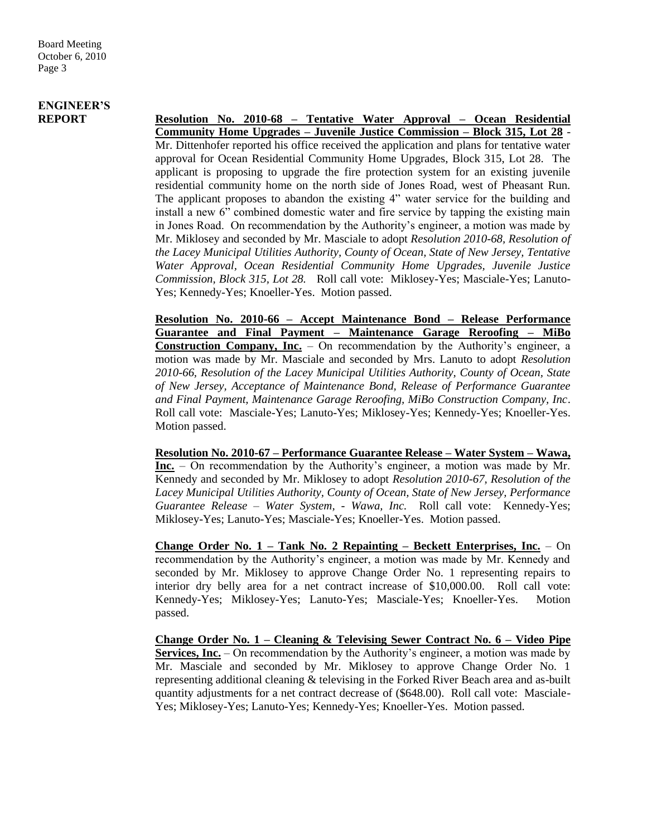## **ENGINEER'S**

**REPORT Resolution No. 2010-68 – Tentative Water Approval – Ocean Residential Community Home Upgrades – Juvenile Justice Commission – Block 315, Lot 28** - Mr. Dittenhofer reported his office received the application and plans for tentative water approval for Ocean Residential Community Home Upgrades, Block 315, Lot 28. The applicant is proposing to upgrade the fire protection system for an existing juvenile residential community home on the north side of Jones Road, west of Pheasant Run. The applicant proposes to abandon the existing 4" water service for the building and install a new 6" combined domestic water and fire service by tapping the existing main in Jones Road. On recommendation by the Authority's engineer, a motion was made by Mr. Miklosey and seconded by Mr. Masciale to adopt *Resolution 2010-68, Resolution of the Lacey Municipal Utilities Authority, County of Ocean, State of New Jersey, Tentative Water Approval, Ocean Residential Community Home Upgrades, Juvenile Justice Commission, Block 315, Lot 28.* Roll call vote: Miklosey-Yes; Masciale-Yes; Lanuto-Yes; Kennedy-Yes; Knoeller-Yes. Motion passed.

> **Resolution No. 2010-66 – Accept Maintenance Bond – Release Performance Guarantee and Final Payment – Maintenance Garage Reroofing – MiBo Construction Company, Inc.** – On recommendation by the Authority's engineer, a motion was made by Mr. Masciale and seconded by Mrs. Lanuto to adopt *Resolution 2010-66, Resolution of the Lacey Municipal Utilities Authority, County of Ocean, State of New Jersey, Acceptance of Maintenance Bond, Release of Performance Guarantee and Final Payment, Maintenance Garage Reroofing, MiBo Construction Company, Inc*. Roll call vote: Masciale-Yes; Lanuto-Yes; Miklosey-Yes; Kennedy-Yes; Knoeller-Yes. Motion passed.

> **Resolution No. 2010-67 – Performance Guarantee Release – Water System – Wawa, Inc.** – On recommendation by the Authority's engineer, a motion was made by Mr. Kennedy and seconded by Mr. Miklosey to adopt *Resolution 2010-67, Resolution of the Lacey Municipal Utilities Authority, County of Ocean, State of New Jersey, Performance Guarantee Release – Water System, - Wawa, Inc.* Roll call vote: Kennedy-Yes; Miklosey-Yes; Lanuto-Yes; Masciale-Yes; Knoeller-Yes. Motion passed.

> **Change Order No. 1 – Tank No. 2 Repainting – Beckett Enterprises, Inc.** – On recommendation by the Authority's engineer, a motion was made by Mr. Kennedy and seconded by Mr. Miklosey to approve Change Order No. 1 representing repairs to interior dry belly area for a net contract increase of \$10,000.00. Roll call vote: Kennedy-Yes; Miklosey-Yes; Lanuto-Yes; Masciale-Yes; Knoeller-Yes. Motion passed.

> **Change Order No. 1 – Cleaning & Televising Sewer Contract No. 6 – Video Pipe Services, Inc.** – On recommendation by the Authority's engineer, a motion was made by Mr. Masciale and seconded by Mr. Miklosey to approve Change Order No. 1 representing additional cleaning & televising in the Forked River Beach area and as-built quantity adjustments for a net contract decrease of (\$648.00). Roll call vote: Masciale-Yes; Miklosey-Yes; Lanuto-Yes; Kennedy-Yes; Knoeller-Yes. Motion passed.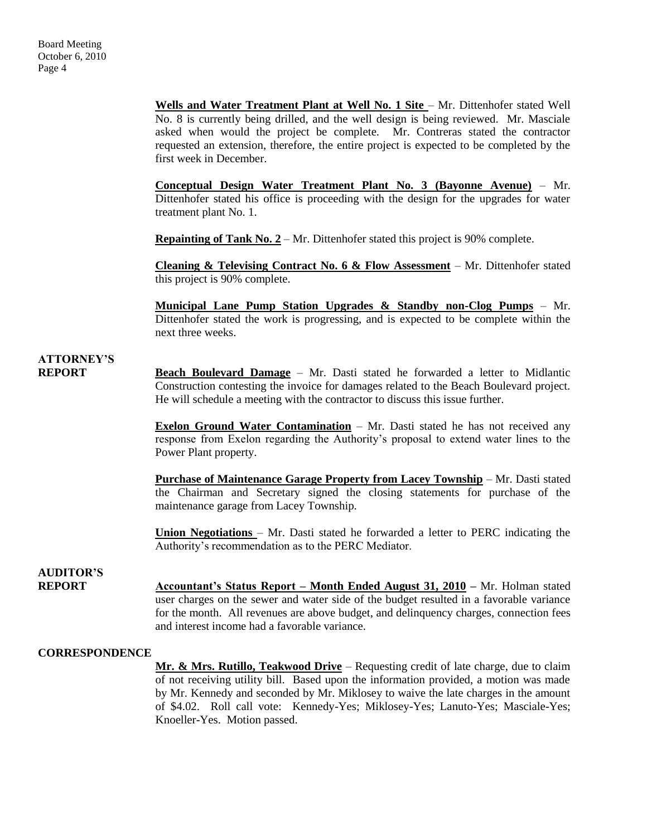**Wells and Water Treatment Plant at Well No. 1 Site - Mr. Dittenhofer stated Well** No. 8 is currently being drilled, and the well design is being reviewed. Mr. Masciale asked when would the project be complete. Mr. Contreras stated the contractor requested an extension, therefore, the entire project is expected to be completed by the first week in December.

**Conceptual Design Water Treatment Plant No. 3 (Bayonne Avenue)** – Mr. Dittenhofer stated his office is proceeding with the design for the upgrades for water treatment plant No. 1.

**Repainting of Tank No. 2** – Mr. Dittenhofer stated this project is 90% complete.

**Cleaning & Televising Contract No. 6 & Flow Assessment** – Mr. Dittenhofer stated this project is 90% complete.

**Municipal Lane Pump Station Upgrades & Standby non-Clog Pumps** – Mr. Dittenhofer stated the work is progressing, and is expected to be complete within the next three weeks.

### **ATTORNEY'S REPORT Beach Boulevard Damage** – Mr. Dasti stated he forwarded a letter to Midlantic

Construction contesting the invoice for damages related to the Beach Boulevard project. He will schedule a meeting with the contractor to discuss this issue further.

**Exelon Ground Water Contamination** – Mr. Dasti stated he has not received any response from Exelon regarding the Authority's proposal to extend water lines to the Power Plant property.

**Purchase of Maintenance Garage Property from Lacey Township** – Mr. Dasti stated the Chairman and Secretary signed the closing statements for purchase of the maintenance garage from Lacey Township.

**Union Negotiations** – Mr. Dasti stated he forwarded a letter to PERC indicating the Authority's recommendation as to the PERC Mediator.

### **AUDITOR'S**

**REPORT Accountant's Status Report – Month Ended August 31, 2010 –** Mr. Holman stated user charges on the sewer and water side of the budget resulted in a favorable variance for the month. All revenues are above budget, and delinquency charges, connection fees and interest income had a favorable variance.

#### **CORRESPONDENCE**

**Mr. & Mrs. Rutillo, Teakwood Drive** – Requesting credit of late charge, due to claim of not receiving utility bill. Based upon the information provided, a motion was made by Mr. Kennedy and seconded by Mr. Miklosey to waive the late charges in the amount of \$4.02. Roll call vote: Kennedy-Yes; Miklosey-Yes; Lanuto-Yes; Masciale-Yes; Knoeller-Yes. Motion passed.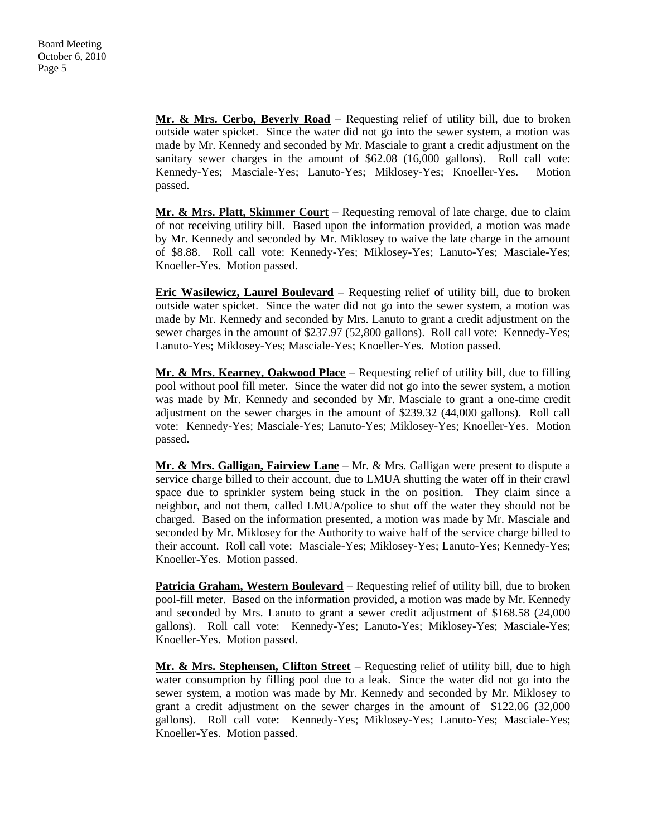**Mr. & Mrs. Cerbo, Beverly Road** – Requesting relief of utility bill, due to broken outside water spicket. Since the water did not go into the sewer system, a motion was made by Mr. Kennedy and seconded by Mr. Masciale to grant a credit adjustment on the sanitary sewer charges in the amount of \$62.08 (16,000 gallons). Roll call vote: Kennedy-Yes; Masciale-Yes; Lanuto-Yes; Miklosey-Yes; Knoeller-Yes. Motion passed.

**Mr. & Mrs. Platt, Skimmer Court** – Requesting removal of late charge, due to claim of not receiving utility bill. Based upon the information provided, a motion was made by Mr. Kennedy and seconded by Mr. Miklosey to waive the late charge in the amount of \$8.88. Roll call vote: Kennedy-Yes; Miklosey-Yes; Lanuto-Yes; Masciale-Yes; Knoeller-Yes. Motion passed.

**Eric Wasilewicz, Laurel Boulevard** – Requesting relief of utility bill, due to broken outside water spicket. Since the water did not go into the sewer system, a motion was made by Mr. Kennedy and seconded by Mrs. Lanuto to grant a credit adjustment on the sewer charges in the amount of \$237.97 (52,800 gallons). Roll call vote: Kennedy-Yes; Lanuto-Yes; Miklosey-Yes; Masciale-Yes; Knoeller-Yes. Motion passed.

**Mr. & Mrs. Kearney, Oakwood Place** – Requesting relief of utility bill, due to filling pool without pool fill meter. Since the water did not go into the sewer system, a motion was made by Mr. Kennedy and seconded by Mr. Masciale to grant a one-time credit adjustment on the sewer charges in the amount of \$239.32 (44,000 gallons). Roll call vote: Kennedy-Yes; Masciale-Yes; Lanuto-Yes; Miklosey-Yes; Knoeller-Yes. Motion passed.

**Mr. & Mrs. Galligan, Fairview Lane** – Mr. & Mrs. Galligan were present to dispute a service charge billed to their account, due to LMUA shutting the water off in their crawl space due to sprinkler system being stuck in the on position. They claim since a neighbor, and not them, called LMUA/police to shut off the water they should not be charged. Based on the information presented, a motion was made by Mr. Masciale and seconded by Mr. Miklosey for the Authority to waive half of the service charge billed to their account. Roll call vote: Masciale-Yes; Miklosey-Yes; Lanuto-Yes; Kennedy-Yes; Knoeller-Yes. Motion passed.

**Patricia Graham, Western Boulevard** – Requesting relief of utility bill, due to broken pool-fill meter. Based on the information provided, a motion was made by Mr. Kennedy and seconded by Mrs. Lanuto to grant a sewer credit adjustment of \$168.58 (24,000 gallons). Roll call vote: Kennedy-Yes; Lanuto-Yes; Miklosey-Yes; Masciale-Yes; Knoeller-Yes. Motion passed.

**Mr. & Mrs. Stephensen, Clifton Street** – Requesting relief of utility bill, due to high water consumption by filling pool due to a leak. Since the water did not go into the sewer system, a motion was made by Mr. Kennedy and seconded by Mr. Miklosey to grant a credit adjustment on the sewer charges in the amount of \$122.06 (32,000 gallons). Roll call vote: Kennedy-Yes; Miklosey-Yes; Lanuto-Yes; Masciale-Yes; Knoeller-Yes. Motion passed.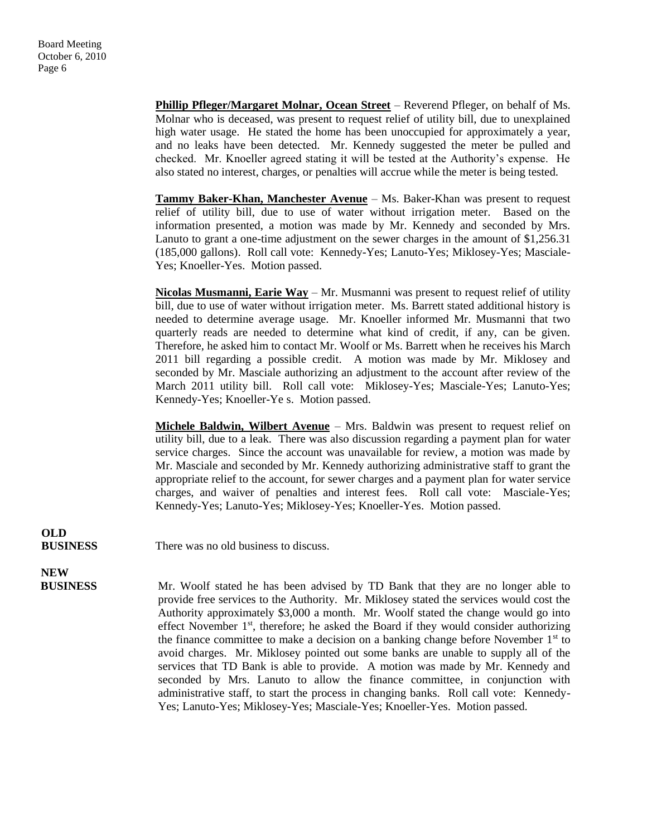**Phillip Pfleger/Margaret Molnar, Ocean Street** – Reverend Pfleger, on behalf of Ms. Molnar who is deceased, was present to request relief of utility bill, due to unexplained high water usage. He stated the home has been unoccupied for approximately a year, and no leaks have been detected. Mr. Kennedy suggested the meter be pulled and checked. Mr. Knoeller agreed stating it will be tested at the Authority's expense. He also stated no interest, charges, or penalties will accrue while the meter is being tested.

Tammy Baker-Khan, Manchester Avenue - Ms. Baker-Khan was present to request relief of utility bill, due to use of water without irrigation meter. Based on the information presented, a motion was made by Mr. Kennedy and seconded by Mrs. Lanuto to grant a one-time adjustment on the sewer charges in the amount of \$1,256.31 (185,000 gallons). Roll call vote: Kennedy-Yes; Lanuto-Yes; Miklosey-Yes; Masciale-Yes; Knoeller-Yes. Motion passed.

**Nicolas Musmanni, Earie Way** – Mr. Musmanni was present to request relief of utility bill, due to use of water without irrigation meter. Ms. Barrett stated additional history is needed to determine average usage. Mr. Knoeller informed Mr. Musmanni that two quarterly reads are needed to determine what kind of credit, if any, can be given. Therefore, he asked him to contact Mr. Woolf or Ms. Barrett when he receives his March 2011 bill regarding a possible credit. A motion was made by Mr. Miklosey and seconded by Mr. Masciale authorizing an adjustment to the account after review of the March 2011 utility bill. Roll call vote: Miklosey-Yes; Masciale-Yes; Lanuto-Yes; Kennedy-Yes; Knoeller-Ye s. Motion passed.

**Michele Baldwin, Wilbert Avenue** – Mrs. Baldwin was present to request relief on utility bill, due to a leak. There was also discussion regarding a payment plan for water service charges. Since the account was unavailable for review, a motion was made by Mr. Masciale and seconded by Mr. Kennedy authorizing administrative staff to grant the appropriate relief to the account, for sewer charges and a payment plan for water service charges, and waiver of penalties and interest fees. Roll call vote: Masciale-Yes; Kennedy-Yes; Lanuto-Yes; Miklosey-Yes; Knoeller-Yes. Motion passed.

# **OLD**

**BUSINESS** There was no old business to discuss.

## **NEW**

 **BUSINESS** Mr. Woolf stated he has been advised by TD Bank that they are no longer able to provide free services to the Authority. Mr. Miklosey stated the services would cost the Authority approximately \$3,000 a month. Mr. Woolf stated the change would go into effect November  $1<sup>st</sup>$ , therefore; he asked the Board if they would consider authorizing the finance committee to make a decision on a banking change before November  $1<sup>st</sup>$  to avoid charges. Mr. Miklosey pointed out some banks are unable to supply all of the services that TD Bank is able to provide. A motion was made by Mr. Kennedy and seconded by Mrs. Lanuto to allow the finance committee, in conjunction with administrative staff, to start the process in changing banks. Roll call vote: Kennedy-Yes; Lanuto-Yes; Miklosey-Yes; Masciale-Yes; Knoeller-Yes. Motion passed.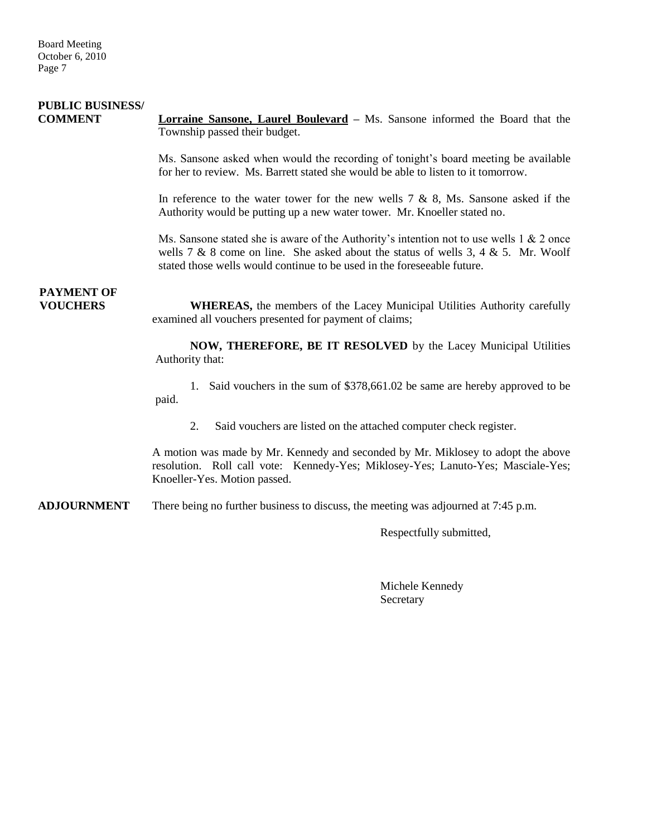| <b>PUBLIC BUSINESS/</b><br><b>COMMENT</b> | <b>Lorraine Sansone, Laurel Boulevard</b> – Ms. Sansone informed the Board that the<br>Township passed their budget.                                                                                                                                        |
|-------------------------------------------|-------------------------------------------------------------------------------------------------------------------------------------------------------------------------------------------------------------------------------------------------------------|
|                                           | Ms. Sansone asked when would the recording of tonight's board meeting be available<br>for her to review. Ms. Barrett stated she would be able to listen to it tomorrow.                                                                                     |
|                                           | In reference to the water tower for the new wells $7 \& 8$ , Ms. Sansone asked if the<br>Authority would be putting up a new water tower. Mr. Knoeller stated no.                                                                                           |
|                                           | Ms. Sansone stated she is aware of the Authority's intention not to use wells 1 $\&$ 2 once<br>wells 7 & 8 come on line. She asked about the status of wells 3, 4 & 5. Mr. Woolf<br>stated those wells would continue to be used in the foreseeable future. |
| <b>PAYMENT OF</b><br><b>VOUCHERS</b>      | <b>WHEREAS</b> , the members of the Lacey Municipal Utilities Authority carefully<br>examined all vouchers presented for payment of claims;                                                                                                                 |
|                                           | NOW, THEREFORE, BE IT RESOLVED by the Lacey Municipal Utilities<br>Authority that:                                                                                                                                                                          |
|                                           | 1. Said vouchers in the sum of \$378,661.02 be same are hereby approved to be<br>paid.                                                                                                                                                                      |
|                                           | Said vouchers are listed on the attached computer check register.<br>2.                                                                                                                                                                                     |
|                                           | A motion was made by Mr. Kennedy and seconded by Mr. Miklosey to adopt the above<br>resolution. Roll call vote: Kennedy-Yes; Miklosey-Yes; Lanuto-Yes; Masciale-Yes;<br>Knoeller-Yes. Motion passed.                                                        |
| <b>ADJOURNMENT</b>                        | There being no further business to discuss, the meeting was adjourned at 7:45 p.m.                                                                                                                                                                          |
|                                           | Respectfully submitted,                                                                                                                                                                                                                                     |

Michele Kennedy Secretary